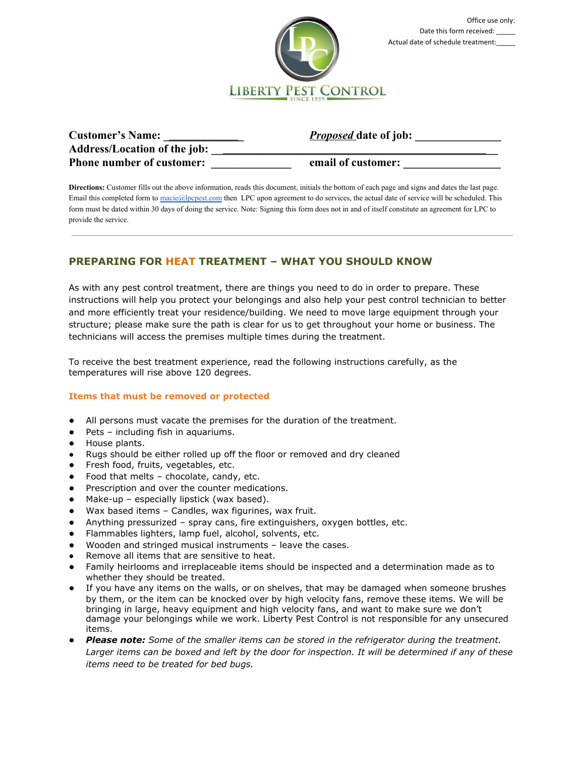

| <b>Customer's Name:</b>             | <b>Proposed</b> date of job: |
|-------------------------------------|------------------------------|
| <b>Address/Location of the job:</b> |                              |
| <b>Phone number of customer:</b>    | email of customer:           |

**Directions:** Customer fills out the above information, reads this document, initials the bottom of each page and signs and dates the last page. Email this completed form to [macie@lpcpest.com](mailto:macie@lpcpest.com) then LPC upon agreement to do services, the actual date of service will be scheduled. This form must be dated within 30 days of doing the service. Note: Signing this form does not in and of itself constitute an agreement for LPC to provide the service.

# **PREPARING FOR HEAT TREATMENT – WHAT YOU SHOULD KNOW**

As with any pest control treatment, there are things you need to do in order to prepare. These instructions will help you protect your belongings and also help your pest control technician to better and more efficiently treat your residence/building. We need to move large equipment through your structure; please make sure the path is clear for us to get throughout your home or business. The technicians will access the premises multiple times during the treatment.

To receive the best treatment experience, read the following instructions carefully, as the temperatures will rise above 120 degrees.

# **Items that must be removed or protected**

- All persons must vacate the premises for the duration of the treatment.
- Pets including fish in aquariums.
- House plants.
- Rugs should be either rolled up off the floor or removed and dry cleaned
- Fresh food, fruits, vegetables, etc.
- Food that melts chocolate, candy, etc.
- Prescription and over the counter medications.
- Make-up especially lipstick (wax based).
- Wax based items Candles, wax figurines, wax fruit.
- Anything pressurized spray cans, fire extinguishers, oxygen bottles, etc.
- Flammables lighters, lamp fuel, alcohol, solvents, etc.
- Wooden and stringed musical instruments leave the cases.
- Remove all items that are sensitive to heat.
- Family heirlooms and irreplaceable items should be inspected and a determination made as to whether they should be treated.
- If you have any items on the walls, or on shelves, that may be damaged when someone brushes by them, or the item can be knocked over by high velocity fans, remove these items. We will be bringing in large, heavy equipment and high velocity fans, and want to make sure we don't damage your belongings while we work. Liberty Pest Control is not responsible for any unsecured items.
- *Please note: Some of the smaller items can be stored in the refrigerator during the treatment. Larger items can be boxed and left by the door for inspection. It will be determined if any of these items need to be treated for bed bugs.*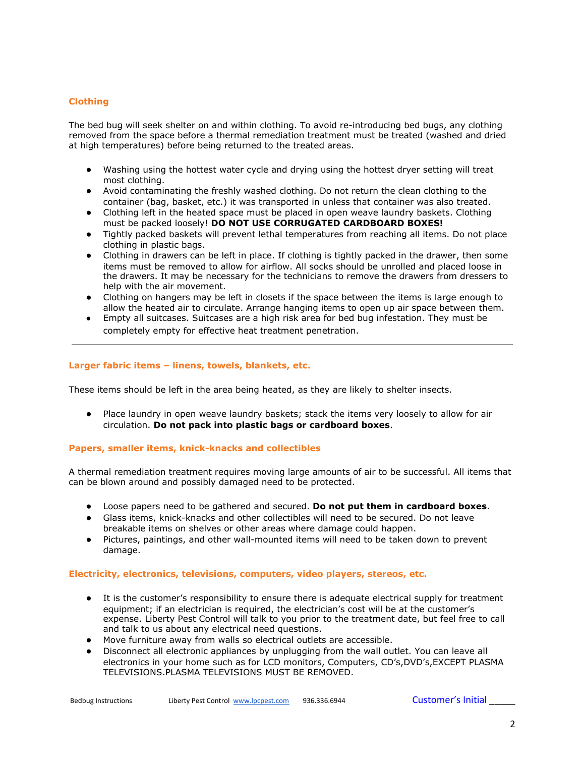# **Clothing**

The bed bug will seek shelter on and within clothing. To avoid re-introducing bed bugs, any clothing removed from the space before a thermal remediation treatment must be treated (washed and dried at high temperatures) before being returned to the treated areas.

- Washing using the hottest water cycle and drying using the hottest dryer setting will treat most clothing.
- Avoid contaminating the freshly washed clothing. Do not return the clean clothing to the container (bag, basket, etc.) it was transported in unless that container was also treated.
- Clothing left in the heated space must be placed in open weave laundry baskets. Clothing must be packed loosely! **DO NOT USE CORRUGATED CARDBOARD BOXES!**
- Tightly packed baskets will prevent lethal temperatures from reaching all items. Do not place clothing in plastic bags.
- Clothing in drawers can be left in place. If clothing is tightly packed in the drawer, then some items must be removed to allow for airflow. All socks should be unrolled and placed loose in the drawers. It may be necessary for the technicians to remove the drawers from dressers to help with the air movement.
- Clothing on hangers may be left in closets if the space between the items is large enough to allow the heated air to circulate. Arrange hanging items to open up air space between them.
- Empty all suitcases. Suitcases are a high risk area for bed bug infestation. They must be completely empty for effective heat treatment penetration.

# **Larger fabric items – linens, towels, blankets, etc.**

These items should be left in the area being heated, as they are likely to shelter insects.

● Place laundry in open weave laundry baskets; stack the items very loosely to allow for air circulation. **Do not pack into plastic bags or cardboard boxes**.

# **Papers, smaller items, knick-knacks and collectibles**

A thermal remediation treatment requires moving large amounts of air to be successful. All items that can be blown around and possibly damaged need to be protected.

- Loose papers need to be gathered and secured. **Do not put them in cardboard boxes**.
- Glass items, knick-knacks and other collectibles will need to be secured. Do not leave breakable items on shelves or other areas where damage could happen.
- Pictures, paintings, and other wall-mounted items will need to be taken down to prevent damage.

#### **Electricity, electronics, televisions, computers, video players, stereos, etc.**

- It is the customer's responsibility to ensure there is adequate electrical supply for treatment equipment; if an electrician is required, the electrician's cost will be at the customer's expense. Liberty Pest Control will talk to you prior to the treatment date, but feel free to call and talk to us about any electrical need questions.
- Move furniture away from walls so electrical outlets are accessible.
- Disconnect all electronic appliances by unplugging from the wall outlet. You can leave all electronics in your home such as for LCD monitors, Computers, CD's,DVD's,EXCEPT PLASMA TELEVISIONS.PLASMA TELEVISIONS MUST BE REMOVED.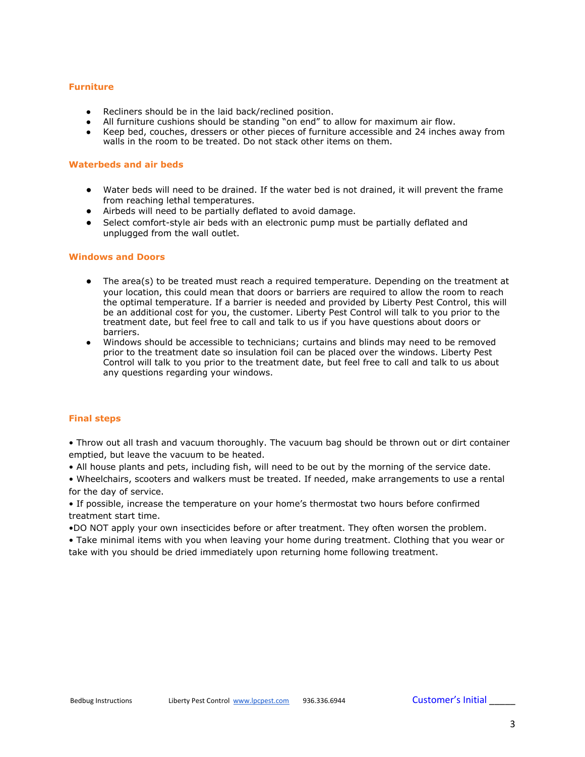#### **Furniture**

- Recliners should be in the laid back/reclined position.
- All furniture cushions should be standing "on end" to allow for maximum air flow.
- Keep bed, couches, dressers or other pieces of furniture accessible and 24 inches away from walls in the room to be treated. Do not stack other items on them.

#### **Waterbeds and air beds**

- Water beds will need to be drained. If the water bed is not drained, it will prevent the frame from reaching lethal temperatures.
- Airbeds will need to be partially deflated to avoid damage.
- Select comfort-style air beds with an electronic pump must be partially deflated and unplugged from the wall outlet.

### **Windows and Doors**

- The area(s) to be treated must reach a required temperature. Depending on the treatment at your location, this could mean that doors or barriers are required to allow the room to reach the optimal temperature. If a barrier is needed and provided by Liberty Pest Control, this will be an additional cost for you, the customer. Liberty Pest Control will talk to you prior to the treatment date, but feel free to call and talk to us if you have questions about doors or barriers.
- Windows should be accessible to technicians; curtains and blinds may need to be removed prior to the treatment date so insulation foil can be placed over the windows. Liberty Pest Control will talk to you prior to the treatment date, but feel free to call and talk to us about any questions regarding your windows.

# **Final steps**

• Throw out all trash and vacuum thoroughly. The vacuum bag should be thrown out or dirt container emptied, but leave the vacuum to be heated.

• All house plants and pets, including fish, will need to be out by the morning of the service date.

• Wheelchairs, scooters and walkers must be treated. If needed, make arrangements to use a rental for the day of service.

• If possible, increase the temperature on your home's thermostat two hours before confirmed treatment start time.

•DO NOT apply your own insecticides before or after treatment. They often worsen the problem.

• Take minimal items with you when leaving your home during treatment. Clothing that you wear or take with you should be dried immediately upon returning home following treatment.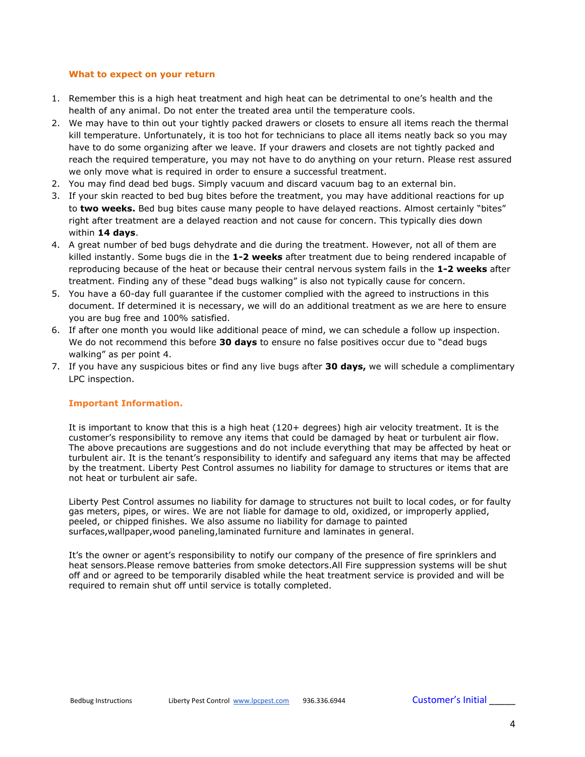### **What to expect on your return**

- 1. Remember this is a high heat treatment and high heat can be detrimental to one's health and the health of any animal. Do not enter the treated area until the temperature cools.
- 2. We may have to thin out your tightly packed drawers or closets to ensure all items reach the thermal kill temperature. Unfortunately, it is too hot for technicians to place all items neatly back so you may have to do some organizing after we leave. If your drawers and closets are not tightly packed and reach the required temperature, you may not have to do anything on your return. Please rest assured we only move what is required in order to ensure a successful treatment.
- 2. You may find dead bed bugs. Simply vacuum and discard vacuum bag to an external bin.
- 3. If your skin reacted to bed bug bites before the treatment, you may have additional reactions for up to **two weeks.** Bed bug bites cause many people to have delayed reactions. Almost certainly "bites" right after treatment are a delayed reaction and not cause for concern. This typically dies down within **14 days**.
- 4. A great number of bed bugs dehydrate and die during the treatment. However, not all of them are killed instantly. Some bugs die in the **1-2 weeks** after treatment due to being rendered incapable of reproducing because of the heat or because their central nervous system fails in the **1-2 weeks** after treatment. Finding any of these "dead bugs walking" is also not typically cause for concern.
- 5. You have a 60-day full guarantee if the customer complied with the agreed to instructions in this document. If determined it is necessary, we will do an additional treatment as we are here to ensure you are bug free and 100% satisfied.
- 6. If after one month you would like additional peace of mind, we can schedule a follow up inspection. We do not recommend this before **30 days** to ensure no false positives occur due to "dead bugs walking" as per point 4.
- 7. If you have any suspicious bites or find any live bugs after **30 days,** we will schedule a complimentary LPC inspection.

# **Important Information.**

It is important to know that this is a high heat (120+ degrees) high air velocity treatment. It is the customer's responsibility to remove any items that could be damaged by heat or turbulent air flow. The above precautions are suggestions and do not include everything that may be affected by heat or turbulent air. It is the tenant's responsibility to identify and safeguard any items that may be affected by the treatment. Liberty Pest Control assumes no liability for damage to structures or items that are not heat or turbulent air safe.

Liberty Pest Control assumes no liability for damage to structures not built to local codes, or for faulty gas meters, pipes, or wires. We are not liable for damage to old, oxidized, or improperly applied, peeled, or chipped finishes. We also assume no liability for damage to painted surfaces,wallpaper,wood paneling,laminated furniture and laminates in general.

It's the owner or agent's responsibility to notify our company of the presence of fire sprinklers and heat sensors.Please remove batteries from smoke detectors.All Fire suppression systems will be shut off and or agreed to be temporarily disabled while the heat treatment service is provided and will be required to remain shut off until service is totally completed.